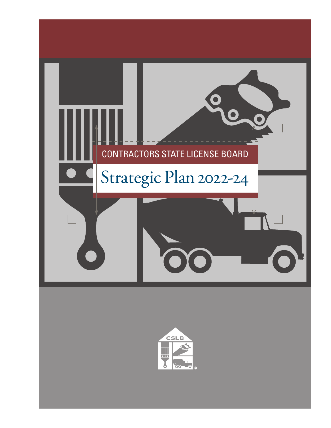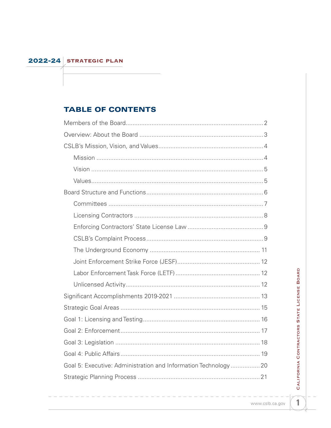# **TABLE OF CONTENTS**

| Goal 5: Executive: Administration and Information Technology20 |
|----------------------------------------------------------------|
|                                                                |

# CALIFORNIA CONTRACTORS STATE LICENSE BOARD

 $\mathbf{1}$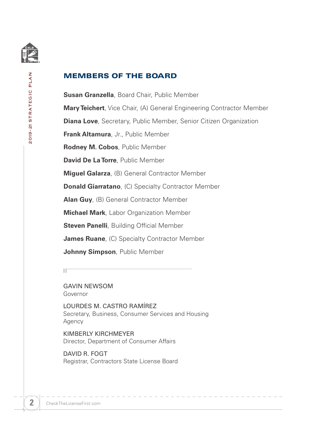<span id="page-3-0"></span>

## MEMBERS OF THE BOARD

**Susan Granzella**, Board Chair, Public Member **Mary Teichert**, Vice Chair, (A) General Engineering Contractor Member **Diana Love**, Secretary, Public Member, Senior Citizen Organization **Frank Altamura**, Jr., Public Member **Rodney M. Cobos**, Public Member **David De La Torre**, Public Member **Miguel Galarza**, (B) General Contractor Member **Donald Giarratano**, (C) Specialty Contractor Member **Alan Guy**, (B) General Contractor Member **Michael Mark**, Labor Organization Member **Steven Panelli**, Building Official Member **James Ruane**, (C) Specialty Contractor Member **Johnny Simpson**, Public Member

 $\boxtimes$ 

GAVIN NEWSOM Governor

LOURDES M. CASTRO RAMÍREZ Secretary, Business, Consumer Services and Housing Agency

KIMBERLY KIRCHMEYER Director, Department of Consumer Affairs

DAVID R. FOGT Registrar, Contractors State License Board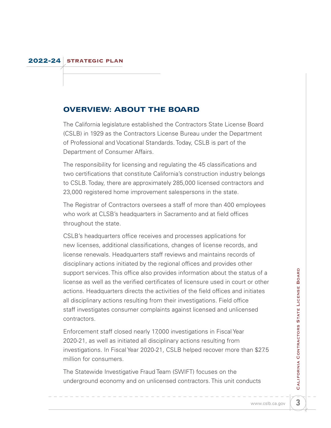# <span id="page-4-0"></span>OVERVIEW: ABOUT THE BOARD

The California legislature established the Contractors State License Board (CSLB) in 1929 as the Contractors License Bureau under the Department of Professional and Vocational Standards. Today, CSLB is part of the Department of Consumer Affairs.

The responsibility for licensing and regulating the 45 classifications and two certifications that constitute California's construction industry belongs to CSLB. Today, there are approximately 285,000 licensed contractors and 23,000 registered home improvement salespersons in the state.

The Registrar of Contractors oversees a staff of more than 400 employees who work at CLSB's headquarters in Sacramento and at field offices throughout the state.

CSLB's headquarters office receives and processes applications for new licenses, additional classifications, changes of license records, and license renewals. Headquarters staff reviews and maintains records of disciplinary actions initiated by the regional offices and provides other support services. This office also provides information about the status of a license as well as the verified certificates of licensure used in court or other actions. Headquarters directs the activities of the field offices and initiates all disciplinary actions resulting from their investigations. Field office staff investigates consumer complaints against licensed and unlicensed contractors.

Enforcement staff closed nearly 17,000 investigations in Fiscal Year 2020-21, as well as initiated all disciplinary actions resulting from investigations. In Fiscal Year 2020-21, CSLB helped recover more than \$27.5 million for consumers.

The Statewide Investigative Fraud Team (SWIFT) focuses on the underground economy and on unlicensed contractors. This unit conducts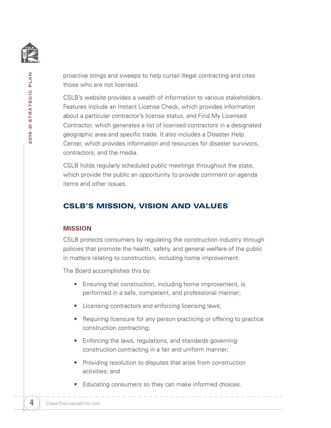<span id="page-5-0"></span>

2019-21 STRATEGIC PLAN 2019-21 STRATEGIC PLAN

proactive stings and sweeps to help curtail illegal contracting and cites those who are not licensed.

CSLB's website provides a wealth of information to various stakeholders. Features include an Instant License Check, which provides information about a particular contractor's license status, and Find My Licensed Contractor, which generates a list of licensed contractors in a designated geographic area and specific trade. It also includes a Disaster Help Center, which provides information and resources for disaster survivors, contractors, and the media.

CSLB holds regularly scheduled public meetings throughout the state, which provide the public an opportunity to provide comment on agenda items and other issues.

# CSLB'S MISSION, VISION AND VALUES

#### **MISSION**

CSLB protects consumers by regulating the construction industry through policies that promote the health, safety, and general welfare of the public in matters relating to construction, including home improvement.

The Board accomplishes this by:

- Ensuring that construction, including home improvement, is performed in a safe, competent, and professional manner;
- Licensing contractors and enforcing licensing laws;
- Requiring licensure for any person practicing or offering to practice construction contracting;
- Enforcing the laws, regulations, and standards governing construction contracting in a fair and uniform manner;
- Providing resolution to disputes that arise from construction activities; and
- Educating consumers so they can make informed choices.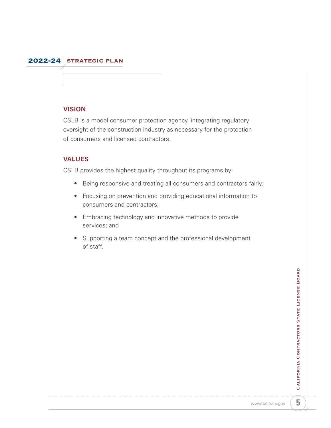#### <span id="page-6-0"></span>**VISION**

CSLB is a model consumer protection agency, integrating regulatory oversight of the construction industry as necessary for the protection of consumers and licensed contractors.

#### **VALUES**

CSLB provides the highest quality throughout its programs by:

- Being responsive and treating all consumers and contractors fairly;
- Focusing on prevention and providing educational information to consumers and contractors;
- Embracing technology and innovative methods to provide services; and
- Supporting a team concept and the professional development of staff.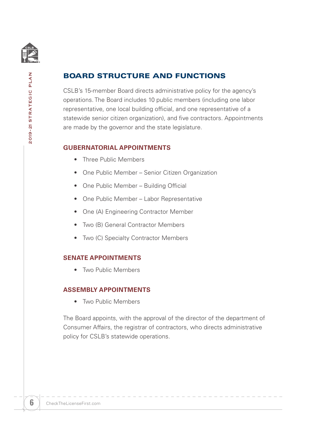<span id="page-7-0"></span>

2019-21 STRATEGIC PLAN

# BOARD STRUCTURE AND FUNCTIONS

CSLB's 15-member Board directs administrative policy for the agency's operations. The Board includes 10 public members (including one labor representative, one local building official, and one representative of a statewide senior citizen organization), and five contractors. Appointments are made by the governor and the state legislature.

#### **GUBERNATORIAL APPOINTMENTS**

- Three Public Members
- One Public Member Senior Citizen Organization
- One Public Member Building Official
- One Public Member Labor Representative
- One (A) Engineering Contractor Member
- Two (B) General Contractor Members
- Two (C) Specialty Contractor Members

#### **SENATE APPOINTMENTS**

• Two Public Members

#### **ASSEMBLY APPOINTMENTS**

• Two Public Members

The Board appoints, with the approval of the director of the department of Consumer Affairs, the registrar of contractors, who directs administrative policy for CSLB's statewide operations.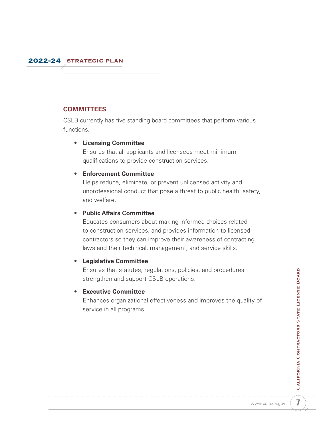#### <span id="page-8-0"></span>**COMMITTEES**

CSLB currently has five standing board committees that perform various functions.

#### • **Licensing Committee**

Ensures that all applicants and licensees meet minimum qualifications to provide construction services.

#### • **Enforcement Committee**

Helps reduce, eliminate, or prevent unlicensed activity and unprofessional conduct that pose a threat to public health, safety, and welfare.

#### • **Public Affairs Committee**

Educates consumers about making informed choices related to construction services, and provides information to licensed contractors so they can improve their awareness of contracting laws and their technical, management, and service skills.

#### • **Legislative Committee**

Ensures that statutes, regulations, policies, and procedures strengthen and support CSLB operations.

#### • **Executive Committee**

Enhances organizational effectiveness and improves the quality of service in all programs.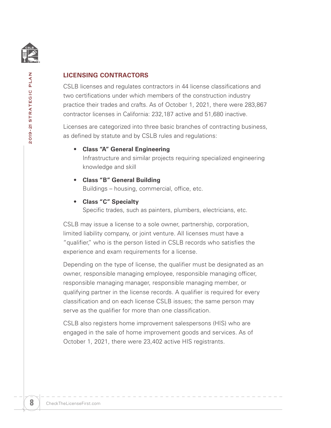<span id="page-9-0"></span>

## **LICENSING CONTRACTORS**

CSLB licenses and regulates contractors in 44 license classifications and two certifications under which members of the construction industry practice their trades and crafts. As of October 1, 2021, there were 283,867 contractor licenses in California: 232,187 active and 51,680 inactive.

Licenses are categorized into three basic branches of contracting business, as defined by statute and by CSLB rules and regulations:

- **Class "A" General Engineering** Infrastructure and similar projects requiring specialized engineering knowledge and skill
- **Class "B" General Building**

Buildings – housing, commercial, office, etc.

• **Class "C" Specialty**

Specific trades, such as painters, plumbers, electricians, etc.

CSLB may issue a license to a sole owner, partnership, corporation, limited liability company, or joint venture. All licenses must have a "qualifier," who is the person listed in CSLB records who satisfies the experience and exam requirements for a license.

Depending on the type of license, the qualifier must be designated as an owner, responsible managing employee, responsible managing officer, responsible managing manager, responsible managing member, or qualifying partner in the license records. A qualifier is required for every classification and on each license CSLB issues; the same person may serve as the qualifier for more than one classification.

CSLB also registers home improvement salespersons (HIS) who are engaged in the sale of home improvement goods and services. As of October 1, 2021, there were 23,402 active HIS registrants.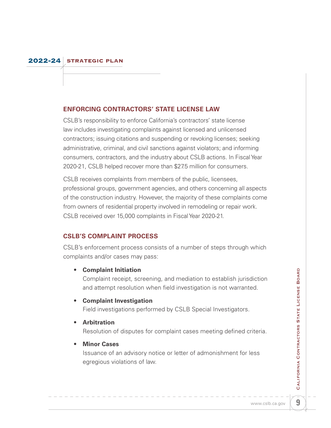#### <span id="page-10-0"></span>**ENFORCING CONTRACTORS' STATE LICENSE LAW**

CSLB's responsibility to enforce California's contractors' state license law includes investigating complaints against licensed and unlicensed contractors; issuing citations and suspending or revoking licenses; seeking administrative, criminal, and civil sanctions against violators; and informing consumers, contractors, and the industry about CSLB actions. In Fiscal Year 2020-21, CSLB helped recover more than \$27.5 million for consumers.

CSLB receives complaints from members of the public, licensees, professional groups, government agencies, and others concerning all aspects of the construction industry. However, the majority of these complaints come from owners of residential property involved in remodeling or repair work. CSLB received over 15,000 complaints in Fiscal Year 2020-21.

#### **CSLB'S COMPLAINT PROCESS**

CSLB's enforcement process consists of a number of steps through which complaints and/or cases may pass:

#### **• Complaint Initiation**

Complaint receipt, screening, and mediation to establish jurisdiction and attempt resolution when field investigation is not warranted.

#### **• Complaint Investigation**

Field investigations performed by CSLB Special Investigators.

#### **• Arbitration**

Resolution of disputes for complaint cases meeting defined criteria.

#### **• Minor Cases**

Issuance of an advisory notice or letter of admonishment for less egregious violations of law.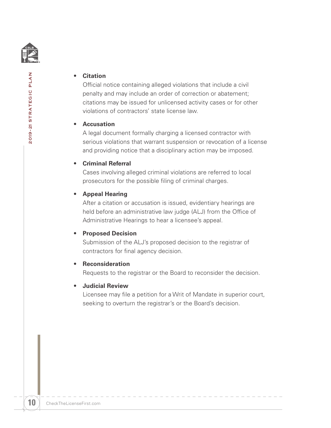

#### **• Citation**

Official notice containing alleged violations that include a civil penalty and may include an order of correction or abatement; citations may be issued for unlicensed activity cases or for other violations of contractors' state license law.

#### **• Accusation**

A legal document formally charging a licensed contractor with serious violations that warrant suspension or revocation of a license and providing notice that a disciplinary action may be imposed.

#### **• Criminal Referral**

Cases involving alleged criminal violations are referred to local prosecutors for the possible filing of criminal charges.

#### **• Appeal Hearing**

After a citation or accusation is issued, evidentiary hearings are held before an administrative law judge (ALJ) from the Office of Administrative Hearings to hear a licensee's appeal.

#### **• Proposed Decision**

Submission of the ALJ's proposed decision to the registrar of contractors for final agency decision.

#### **• Reconsideration**

Requests to the registrar or the Board to reconsider the decision.

#### **• Judicial Review**

Licensee may file a petition for a Writ of Mandate in superior court, seeking to overturn the registrar's or the Board's decision.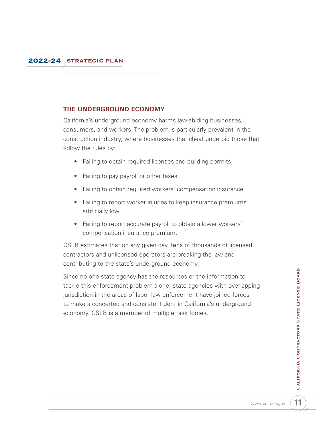#### <span id="page-12-0"></span>**THE UNDERGROUND ECONOMY**

California's underground economy harms law-abiding businesses, consumers, and workers. The problem is particularly prevalent in the construction industry, where businesses that cheat underbid those that follow the rules by:

- Failing to obtain required licenses and building permits.
- Failing to pay payroll or other taxes.
- Failing to obtain required workers' compensation insurance.
- Failing to report worker injuries to keep insurance premiums artificially low.
- Failing to report accurate payroll to obtain a lower workers' compensation insurance premium.

CSLB estimates that on any given day, tens of thousands of licensed contractors and unlicensed operators are breaking the law and contributing to the state's underground economy.

Since no one state agency has the resources or the information to tackle this enforcement problem alone, state agencies with overlapping jurisdiction in the areas of labor law enforcement have joined forces to make a concerted and consistent dent in California's underground economy. CSLB is a member of multiple task forces.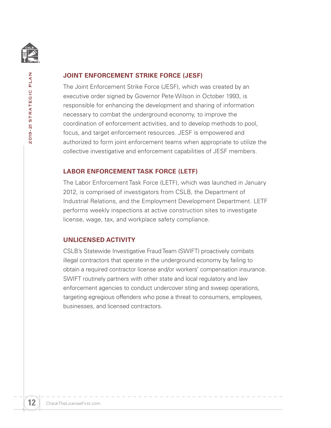<span id="page-13-0"></span>

2019-21 STRATEGIC PLAN

#### **JOINT ENFORCEMENT STRIKE FORCE (JESF)**

The Joint Enforcement Strike Force (JESF), which was created by an executive order signed by Governor Pete Wilson in October 1993, is responsible for enhancing the development and sharing of information necessary to combat the underground economy, to improve the coordination of enforcement activities, and to develop methods to pool, focus, and target enforcement resources. JESF is empowered and authorized to form joint enforcement teams when appropriate to utilize the collective investigative and enforcement capabilities of JESF members.

#### **LABOR ENFORCEMENT TASK FORCE (LETF)**

The Labor Enforcement Task Force (LETF), which was launched in January 2012, is comprised of investigators from CSLB, the Department of Industrial Relations, and the Employment Development Department. LETF performs weekly inspections at active construction sites to investigate license, wage, tax, and workplace safety compliance.

#### **UNLICENSED ACTIVITY**

CSLB's Statewide Investigative Fraud Team (SWIFT) proactively combats illegal contractors that operate in the underground economy by failing to obtain a required contractor license and/or workers' compensation insurance. SWIFT routinely partners with other state and local regulatory and law enforcement agencies to conduct undercover sting and sweep operations, targeting egregious offenders who pose a threat to consumers, employees, businesses, and licensed contractors.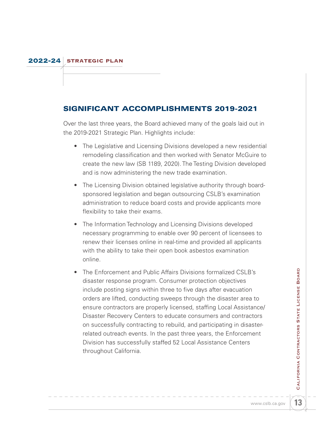## <span id="page-14-0"></span>SIGNIFICANT ACCOMPLISHMENTS 2019-2021

Over the last three years, the Board achieved many of the goals laid out in the 2019-2021 Strategic Plan. Highlights include:

- The Legislative and Licensing Divisions developed a new residential remodeling classification and then worked with Senator McGuire to create the new law (SB 1189, 2020). The Testing Division developed and is now administering the new trade examination.
- The Licensing Division obtained legislative authority through boardsponsored legislation and began outsourcing CSLB's examination administration to reduce board costs and provide applicants more flexibility to take their exams.
- The Information Technology and Licensing Divisions developed necessary programming to enable over 90 percent of licensees to renew their licenses online in real-time and provided all applicants with the ability to take their open book asbestos examination online.
- The Enforcement and Public Affairs Divisions formalized CSLB's disaster response program. Consumer protection objectives include posting signs within three to five days after evacuation orders are lifted, conducting sweeps through the disaster area to ensure contractors are properly licensed, staffing Local Assistance/ Disaster Recovery Centers to educate consumers and contractors on successfully contracting to rebuild, and participating in disasterrelated outreach events. In the past three years, the Enforcement Division has successfully staffed 52 Local Assistance Centers throughout California.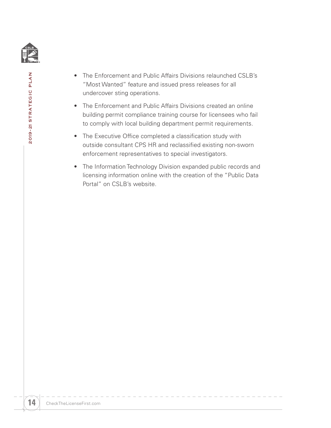

- The Enforcement and Public Affairs Divisions relaunched CSLB's "Most Wanted" feature and issued press releases for all undercover sting operations.
- The Enforcement and Public Affairs Divisions created an online building permit compliance training course for licensees who fail to comply with local building department permit requirements.
- The Executive Office completed a classification study with outside consultant CPS HR and reclassified existing non-sworn enforcement representatives to special investigators.
- The Information Technology Division expanded public records and licensing information online with the creation of the "Public Data Portal" on CSLB's website.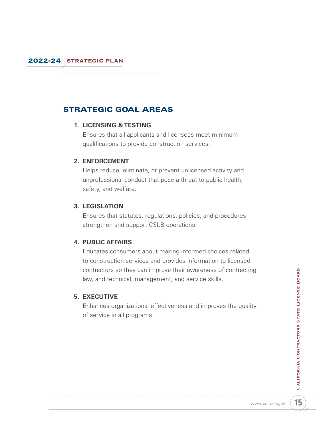# <span id="page-16-0"></span>STRATEGIC GOAL AREAS

#### **1. LICENSING & TESTING**

Ensures that all applicants and licensees meet minimum qualifications to provide construction services.

#### **2. ENFORCEMENT**

Helps reduce, eliminate, or prevent unlicensed activity and unprofessional conduct that pose a threat to public health, safety, and welfare.

#### **3. LEGISLATION**

Ensures that statutes, regulations, policies, and procedures strengthen and support CSLB operations.

#### **4. PUBLIC AFFAIRS**

Educates consumers about making informed choices related to construction services and provides information to licensed contractors so they can improve their awareness of contracting law, and technical, management, and service skills.

#### **5. EXECUTIVE**

Enhances organizational effectiveness and improves the quality of service in all programs.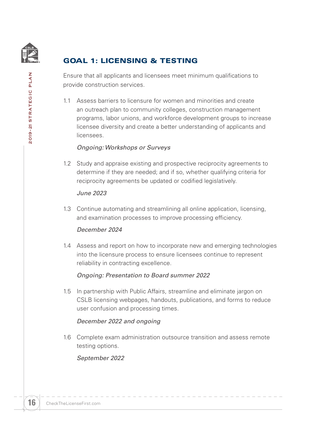<span id="page-17-0"></span>

# GOAL 1: LICENSING & TESTING

Ensure that all applicants and licensees meet minimum qualifications to provide construction services.

1.1 Assess barriers to licensure for women and minorities and create an outreach plan to community colleges, construction management programs, labor unions, and workforce development groups to increase licensee diversity and create a better understanding of applicants and licensees.

#### *Ongoing: Workshops or Surveys*

1.2 Study and appraise existing and prospective reciprocity agreements to determine if they are needed; and if so, whether qualifying criteria for reciprocity agreements be updated or codified legislatively.

#### *June 2023*

1.3 Continue automating and streamlining all online application, licensing, and examination processes to improve processing efficiency.

#### *December 2024*

1.4 Assess and report on how to incorporate new and emerging technologies into the licensure process to ensure licensees continue to represent reliability in contracting excellence.

#### *Ongoing: Presentation to Board summer 2022*

1.5 In partnership with Public Affairs, streamline and eliminate jargon on CSLB licensing webpages, handouts, publications, and forms to reduce user confusion and processing times.

#### *December 2022 and ongoing*

1.6 Complete exam administration outsource transition and assess remote testing options.

#### *September 2022*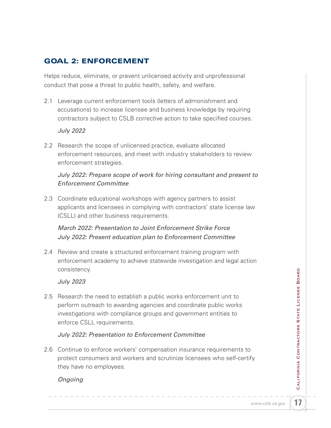# <span id="page-18-0"></span>GOAL 2: ENFORCEMENT

Helps reduce, eliminate, or prevent unlicensed activity and unprofessional conduct that pose a threat to public health, safety, and welfare.

2.1 Leverage current enforcement tools (letters of admonishment and accusations) to increase licensee and business knowledge by requiring contractors subject to CSLB corrective action to take specified courses.

#### *July 2022*

2.2 Research the scope of unlicensed practice, evaluate allocated enforcement resources, and meet with industry stakeholders to review enforcement strategies.

### *July 2022: Prepare scope of work for hiring consultant and present to Enforcement Committee*

2.3 Coordinate educational workshops with agency partners to assist applicants and licensees in complying with contractors' state license law (CSLL) and other business requirements.

## *March 2022: Presentation to Joint Enforcement Strike Force July 2022: Present education plan to Enforcement Committee*

2.4 Review and create a structured enforcement training program with enforcement academy to achieve statewide investigation and legal action consistency.

#### *July 2023*

2.5 Research the need to establish a public works enforcement unit to perform outreach to awarding agencies and coordinate public works investigations with compliance groups and government entities to enforce CSLL requirements.

#### *July 2022: Presentation to Enforcement Committee*

2.6 Continue to enforce workers' compensation insurance requirements to protect consumers and workers and scrutinize licensees who self-certify they have no employees.

#### *Ongoing*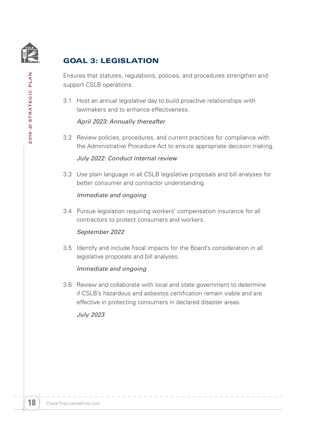<span id="page-19-0"></span>

**2019-21 STRATEGIC PLAN** 

# GOAL 3: LEGISLATION

Ensures that statutes, regulations, policies, and procedures strengthen and support CSLB operations.

3.1 Host an annual legislative day to build proactive relationships with lawmakers and to enhance effectiveness.

#### *April 2023: Annually thereafter*

3.2 Review policies, procedures, and current practices for compliance with the Administrative Procedure Act to ensure appropriate decision making.

#### *July 2022: Conduct internal review*

3.3 Use plain language in all CSLB legislative proposals and bill analyses for better consumer and contractor understanding.

#### *Immediate and ongoing*

3.4 Pursue legislation requiring workers' compensation insurance for all contractors to protect consumers and workers.

#### *September 2022*

3.5 Identify and include fiscal impacts for the Board's consideration in all legislative proposals and bill analyses.

#### *Immediate and ongoing*

3.6 Review and collaborate with local and state government to determine if CSLB's hazardous and asbestos certification remain viable and are effective in protecting consumers in declared disaster areas.

*July 2023*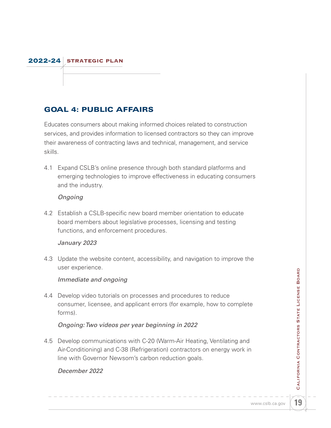# <span id="page-20-0"></span>GOAL 4: PUBLIC AFFAIRS

Educates consumers about making informed choices related to construction services, and provides information to licensed contractors so they can improve their awareness of contracting laws and technical, management, and service skills.

4.1 Expand CSLB's online presence through both standard platforms and emerging technologies to improve effectiveness in educating consumers and the industry.

#### *Ongoing*

4.2 Establish a CSLB-specific new board member orientation to educate board members about legislative processes, licensing and testing functions, and enforcement procedures.

#### *January 2023*

4.3 Update the website content, accessibility, and navigation to improve the user experience.

#### *Immediate and ongoing*

4.4 Develop video tutorials on processes and procedures to reduce consumer, licensee, and applicant errors (for example, how to complete forms).

#### *Ongoing: Two videos per year beginning in 2022*

4.5 Develop communications with C-20 (Warm-Air Heating, Ventilating and Air-Conditioning) and C-38 (Refrigeration) contractors on energy work in line with Governor Newsom's carbon reduction goals.

#### *December 2022*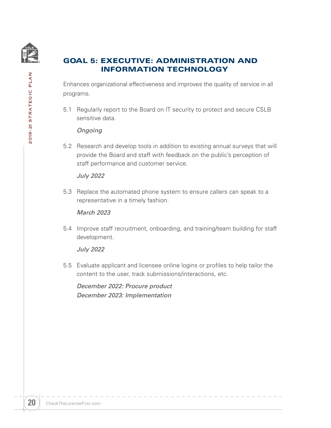<span id="page-21-0"></span>

# GOAL 5: EXECUTIVE: ADMINISTRATION AND INFORMATION TECHNOLOGY

Enhances organizational effectiveness and improves the quality of service in all programs.

5.1 Regularly report to the Board on IT security to protect and secure CSLB sensitive data.

#### *Ongoing*

5.2 Research and develop tools in addition to existing annual surveys that will provide the Board and staff with feedback on the public's perception of staff performance and customer service.

#### *July 2022*

5.3 Replace the automated phone system to ensure callers can speak to a representative in a timely fashion.

#### *March 2023*

5.4 Improve staff recruitment, onboarding, and training/team building for staff development.

#### *July 2022*

5.5 Evaluate applicant and licensee online logins or profiles to help tailor the content to the user, track submissions/interactions, etc.

*December 2022: Procure product December 2023: Implementation*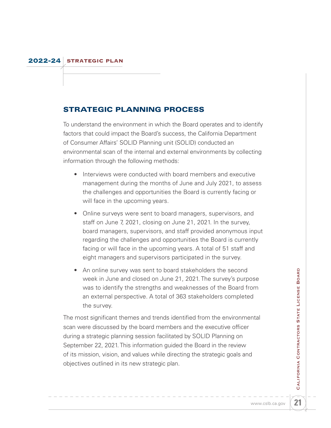# <span id="page-22-0"></span>STRATEGIC PLANNING PROCESS

To understand the environment in which the Board operates and to identify factors that could impact the Board's success, the California Department of Consumer Affairs' SOLID Planning unit (SOLID) conducted an environmental scan of the internal and external environments by collecting information through the following methods:

- Interviews were conducted with board members and executive management during the months of June and July 2021, to assess the challenges and opportunities the Board is currently facing or will face in the upcoming years.
- Online surveys were sent to board managers, supervisors, and staff on June 7, 2021, closing on June 21, 2021. In the survey, board managers, supervisors, and staff provided anonymous input regarding the challenges and opportunities the Board is currently facing or will face in the upcoming years. A total of 51 staff and eight managers and supervisors participated in the survey.
- An online survey was sent to board stakeholders the second week in June and closed on June 21, 2021. The survey's purpose was to identify the strengths and weaknesses of the Board from an external perspective. A total of 363 stakeholders completed the survey.

The most significant themes and trends identified from the environmental scan were discussed by the board members and the executive officer during a strategic planning session facilitated by SOLID Planning on September 22, 2021. This information guided the Board in the review of its mission, vision, and values while directing the strategic goals and objectives outlined in its new strategic plan.